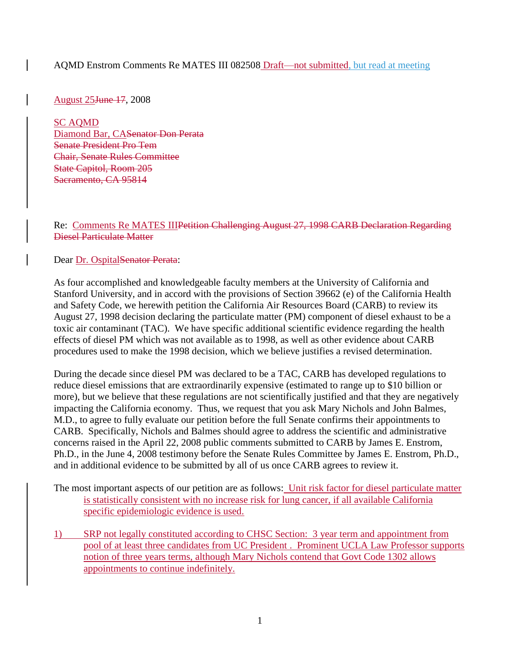## AQMD Enstrom Comments Re MATES III 082508 Draft—not submitted, but read at meeting

August 25June 17, 2008

SC AQMD Diamond Bar, CASenator Don Perata Senate President Pro Tem Chair, Senate Rules Committee State Capitol, Room 205 Sacramento, CA 95814

Re: Comments Re MATES IIIPetition Challenging August 27, 1998 CARB Declaration Regarding Diesel Particulate Matter

Dear Dr. Ospital<del>Senator Perata</del>:

As four accomplished and knowledgeable faculty members at the University of California and Stanford University, and in accord with the provisions of Section 39662 (e) of the California Health and Safety Code, we herewith petition the California Air Resources Board (CARB) to review its August 27, 1998 decision declaring the particulate matter (PM) component of diesel exhaust to be a toxic air contaminant (TAC). We have specific additional scientific evidence regarding the health effects of diesel PM which was not available as to 1998, as well as other evidence about CARB procedures used to make the 1998 decision, which we believe justifies a revised determination.

During the decade since diesel PM was declared to be a TAC, CARB has developed regulations to reduce diesel emissions that are extraordinarily expensive (estimated to range up to \$10 billion or more), but we believe that these regulations are not scientifically justified and that they are negatively impacting the California economy. Thus, we request that you ask Mary Nichols and John Balmes, M.D., to agree to fully evaluate our petition before the full Senate confirms their appointments to CARB. Specifically, Nichols and Balmes should agree to address the scientific and administrative concerns raised in the April 22, 2008 public comments submitted to CARB by James E. Enstrom, Ph.D., in the June 4, 2008 testimony before the Senate Rules Committee by James E. Enstrom, Ph.D., and in additional evidence to be submitted by all of us once CARB agrees to review it.

The most important aspects of our petition are as follows: Unit risk factor for diesel particulate matter is statistically consistent with no increase risk for lung cancer, if all available California specific epidemiologic evidence is used.

1) SRP not legally constituted according to CHSC Section: 3 year term and appointment from pool of at least three candidates from UC President . Prominent UCLA Law Professor supports notion of three years terms, although Mary Nichols contend that Govt Code 1302 allows appointments to continue indefinitely.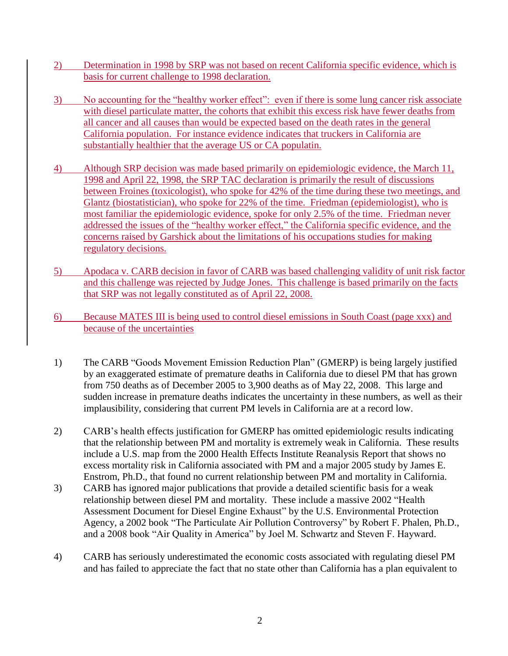- 2) Determination in 1998 by SRP was not based on recent California specific evidence, which is basis for current challenge to 1998 declaration.
- 3) No accounting for the "healthy worker effect": even if there is some lung cancer risk associate with diesel particulate matter, the cohorts that exhibit this excess risk have fewer deaths from all cancer and all causes than would be expected based on the death rates in the general California population. For instance evidence indicates that truckers in California are substantially healthier that the average US or CA populatin.
- 4) Although SRP decision was made based primarily on epidemiologic evidence, the March 11, 1998 and April 22, 1998, the SRP TAC declaration is primarily the result of discussions between Froines (toxicologist), who spoke for 42% of the time during these two meetings, and Glantz (biostatistician), who spoke for 22% of the time. Friedman (epidemiologist), who is most familiar the epidemiologic evidence, spoke for only 2.5% of the time. Friedman never addressed the issues of the "healthy worker effect," the California specific evidence, and the concerns raised by Garshick about the limitations of his occupations studies for making regulatory decisions.
- 5) Apodaca v. CARB decision in favor of CARB was based challenging validity of unit risk factor and this challenge was rejected by Judge Jones. This challenge is based primarily on the facts that SRP was not legally constituted as of April 22, 2008.
- 6) Because MATES III is being used to control diesel emissions in South Coast (page xxx) and because of the uncertainties
- 1) The CARB "Goods Movement Emission Reduction Plan" (GMERP) is being largely justified by an exaggerated estimate of premature deaths in California due to diesel PM that has grown from 750 deaths as of December 2005 to 3,900 deaths as of May 22, 2008. This large and sudden increase in premature deaths indicates the uncertainty in these numbers, as well as their implausibility, considering that current PM levels in California are at a record low.
- 2) CARB's health effects justification for GMERP has omitted epidemiologic results indicating that the relationship between PM and mortality is extremely weak in California. These results include a U.S. map from the 2000 Health Effects Institute Reanalysis Report that shows no excess mortality risk in California associated with PM and a major 2005 study by James E. Enstrom, Ph.D., that found no current relationship between PM and mortality in California.
- 3) CARB has ignored major publications that provide a detailed scientific basis for a weak relationship between diesel PM and mortality. These include a massive 2002 "Health Assessment Document for Diesel Engine Exhaust" by the U.S. Environmental Protection Agency, a 2002 book "The Particulate Air Pollution Controversy" by Robert F. Phalen, Ph.D., and a 2008 book "Air Quality in America" by Joel M. Schwartz and Steven F. Hayward.
- 4) CARB has seriously underestimated the economic costs associated with regulating diesel PM and has failed to appreciate the fact that no state other than California has a plan equivalent to